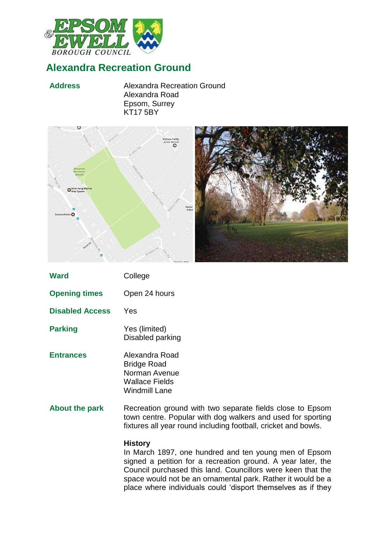

# **Alexandra Recreation Ground**

**Address** Alexandra Recreation Ground Alexandra Road Epsom, Surrey KT17 5BY





| <b>Ward</b>            | College                                                                                                                                                                                    |
|------------------------|--------------------------------------------------------------------------------------------------------------------------------------------------------------------------------------------|
| <b>Opening times</b>   | Open 24 hours                                                                                                                                                                              |
| <b>Disabled Access</b> | Yes                                                                                                                                                                                        |
| <b>Parking</b>         | Yes (limited)<br>Disabled parking                                                                                                                                                          |
| <b>Entrances</b>       | Alexandra Road<br><b>Bridge Road</b><br>Norman Avenue<br><b>Wallace Fields</b><br><b>Windmill Lane</b>                                                                                     |
| About the park         | Recreation ground with two separate fields close to Epsom<br>town centre. Popular with dog walkers and used for sporting<br>fixtures all year round including football, cricket and bowls. |
|                        | <b>History</b>                                                                                                                                                                             |

In March 1897, one hundred and ten young men of Epsom signed a petition for a recreation ground. A year later, the Council purchased this land. Councillors were keen that the space would not be an ornamental park. Rather it would be a place where individuals could 'disport themselves as if they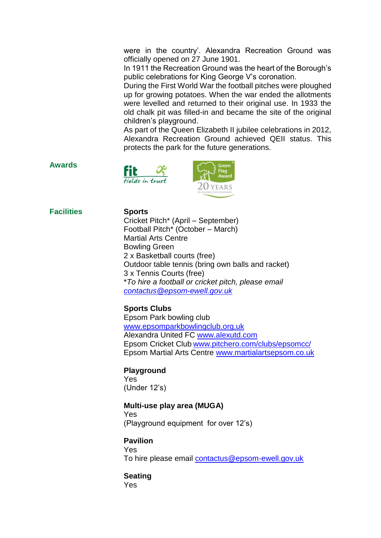were in the country'. Alexandra Recreation Ground was officially opened on 27 June 1901.

In 1911 the Recreation Ground was the heart of the Borough's public celebrations for King George V's coronation.

During the First World War the football pitches were ploughed up for growing potatoes. When the war ended the allotments were levelled and returned to their original use. In 1933 the old chalk pit was filled-in and became the site of the original children's playground.

As part of the Queen Elizabeth II jubilee celebrations in 2012, Alexandra Recreation Ground achieved QEII status. This protects the park for the future generations.

## **Awards**





## **Facilities Sports**

Cricket Pitch\* (April – September) Football Pitch\* (October – March) Martial Arts Centre Bowling Green 2 x Basketball courts (free) Outdoor table tennis (bring own balls and racket) 3 x Tennis Courts (free) \**To hire a football or cricket pitch, please email [contactus@epsom-ewell.gov.uk](mailto:contactus@epsom-ewell.gov.uk)*

# **Sports Clubs**

Epsom Park bowling club [www.epsomparkbowlingclub.org.uk](http://www.epsomparkbowlingclub.org.uk/) Alexandra United FC [www.alexutd.com](http://www.alexutd.com/) Epsom Cricket Club [www.pitchero.com/clubs/epsomcc/](http://www.pitchero.com/clubs/epsomcc/) Epsom Martial Arts Centre [www.martialartsepsom.co.uk](http://www.martialartsepsom.co.uk/)

### **Playground**

Yes (Under 12's)

### **Multi-use play area (MUGA)**

Yes (Playground equipment for over 12's)

**Pavilion**  Yes To hire please email [contactus@epsom-ewell.gov.uk](mailto:contactus@epsom-ewell.gov.uk)

# **Seating**

Yes